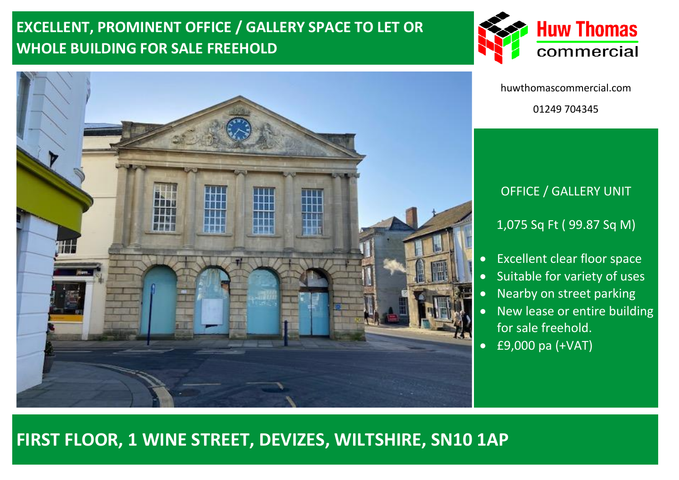# **EXCELLENT, PROMINENT OFFICE / GALLERY SPACE TO LET OR WHOLE BUILDING FOR SALE FREEHOLD**





huwthomascommercial.com 01249 704345

### OFFICE / GALLERY UNIT

1,075 Sq Ft ( 99.87 Sq M)

- Excellent clear floor space
- Suitable for variety of uses
- Nearby on street parking
- New lease or entire building for sale freehold.
- £9,000 pa (+VAT)

## **FIRST FLOOR, 1 WINE STREET, DEVIZES, WILTSHIRE, SN10 1AP**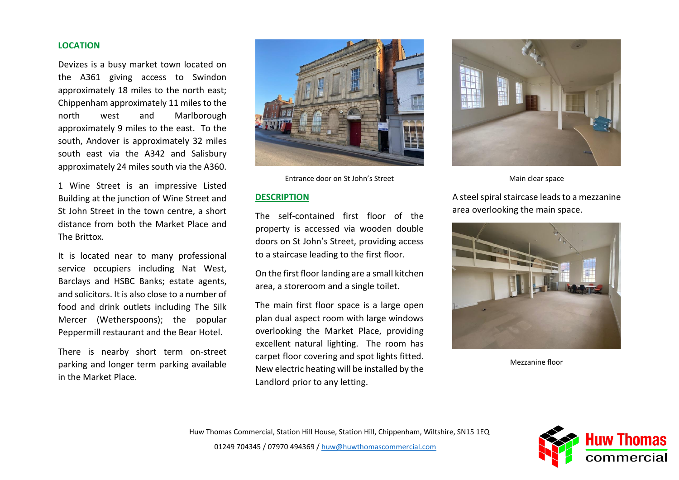#### **LOCATION**

Devizes is a busy market town located on the A361 giving access to Swindon approximately 18 miles to the north east; Chippenham approximately 11 miles to the north west and Marlborough approximately 9 miles to the east. To the south, Andover is approximately 32 miles south east via the A342 and Salisbury approximately 24 miles south via the A360.

1 Wine Street is an impressive Listed Building at the junction of Wine Street and St John Street in the town centre, a short distance from both the Market Place and The Brittox.

It is located near to many professional service occupiers including Nat West, Barclays and HSBC Banks; estate agents, and solicitors. It is also close to a number of food and drink outlets including The Silk Mercer (Wetherspoons); the popular Peppermill restaurant and the Bear Hotel.

There is nearby short term on-street parking and longer term parking available in the Market Place.



Entrance door on St John's Street

#### **DESCRIPTION**

The self-contained first floor of the property is accessed via wooden double doors on St John's Street, providing access to a staircase leading to the first floor.

On the first floor landing are a small kitchen area, a storeroom and a single toilet.

The main first floor space is a large open plan dual aspect room with large windows overlooking the Market Place, providing excellent natural lighting. The room has carpet floor covering and spot lights fitted. New electric heating will be installed by the Landlord prior to any letting.



Main clear space

A steel spiral staircase leads to a mezzanine area overlooking the main space.



Mezzanine floor